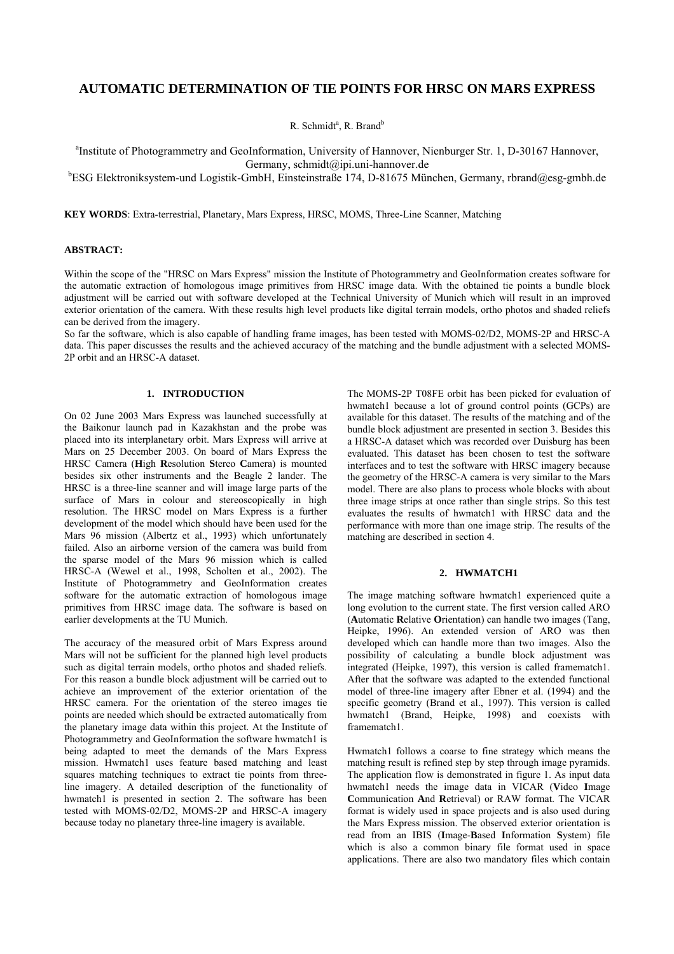# **AUTOMATIC DETERMINATION OF TIE POINTS FOR HRSC ON MARS EXPRESS**

R. Schmidt<sup>a</sup>, R. Brand<sup>b</sup>

<sup>a</sup>Institute of Photogrammetry and GeoInformation, University of Hannover, Nienburger Str. 1, D-30167 Hannover, Germany, schmidt@ipi.uni-hannover.de

b ESG Elektroniksystem-und Logistik-GmbH, Einsteinstraße 174, D-81675 München, Germany, rbrand@esg-gmbh.de

**KEY WORDS**: Extra-terrestrial, Planetary, Mars Express, HRSC, MOMS, Three-Line Scanner, Matching

## **ABSTRACT:**

Within the scope of the "HRSC on Mars Express" mission the Institute of Photogrammetry and GeoInformation creates software for the automatic extraction of homologous image primitives from HRSC image data. With the obtained tie points a bundle block adjustment will be carried out with software developed at the Technical University of Munich which will result in an improved exterior orientation of the camera. With these results high level products like digital terrain models, ortho photos and shaded reliefs can be derived from the imagery.

So far the software, which is also capable of handling frame images, has been tested with MOMS-02/D2, MOMS-2P and HRSC-A data. This paper discusses the results and the achieved accuracy of the matching and the bundle adjustment with a selected MOMS-2P orbit and an HRSC-A dataset.

## **1. INTRODUCTION**

On 02 June 2003 Mars Express was launched successfully at the Baikonur launch pad in Kazakhstan and the probe was placed into its interplanetary orbit. Mars Express will arrive at Mars on 25 December 2003. On board of Mars Express the HRSC Camera (**H**igh **R**esolution **S**tereo **C**amera) is mounted besides six other instruments and the Beagle 2 lander. The HRSC is a three-line scanner and will image large parts of the surface of Mars in colour and stereoscopically in high resolution. The HRSC model on Mars Express is a further development of the model which should have been used for the Mars 96 mission (Albertz et al., 1993) which unfortunately failed. Also an airborne version of the camera was build from the sparse model of the Mars 96 mission which is called HRSC-A (Wewel et al., 1998, Scholten et al., 2002). The Institute of Photogrammetry and GeoInformation creates software for the automatic extraction of homologous image primitives from HRSC image data. The software is based on earlier developments at the TU Munich.

The accuracy of the measured orbit of Mars Express around Mars will not be sufficient for the planned high level products such as digital terrain models, ortho photos and shaded reliefs. For this reason a bundle block adjustment will be carried out to achieve an improvement of the exterior orientation of the HRSC camera. For the orientation of the stereo images tie points are needed which should be extracted automatically from the planetary image data within this project. At the Institute of Photogrammetry and GeoInformation the software hwmatch1 is being adapted to meet the demands of the Mars Express mission. Hwmatch1 uses feature based matching and least squares matching techniques to extract tie points from threeline imagery. A detailed description of the functionality of hwmatch1 is presented in section [2.](#page-0-0) The software has been tested with MOMS-02/D2, MOMS-2P and HRSC-A imagery because today no planetary three-line imagery is available.

The MOMS-2P T08FE orbit has been picked for evaluation of hwmatch1 because a lot of ground control points (GCPs) are available for this dataset. The results of the matching and of the bundle block adjustment are presented in section [3.](#page-1-0) Besides this a HRSC-A dataset which was recorded over Duisburg has been evaluated. This dataset has been chosen to test the software interfaces and to test the software with HRSC imagery because the geometry of the HRSC-A camera is very similar to the Mars model. There are also plans to process whole blocks with about three image strips at once rather than single strips. So this test evaluates the results of hwmatch1 with HRSC data and the performance with more than one image strip. The results of the matching are described in section [4.](#page-3-0)

## <span id="page-0-0"></span>**2. HWMATCH1**

The image matching software hwmatch1 experienced quite a long evolution to the current state. The first version called ARO (**A**utomatic **R**elative **O**rientation) can handle two images (Tang, Heipke, 1996). An extended version of ARO was then developed which can handle more than two images. Also the possibility of calculating a bundle block adjustment was integrated (Heipke, 1997), this version is called framematch1. After that the software was adapted to the extended functional model of three-line imagery after Ebner et al. (1994) and the specific geometry (Brand et al., 1997). This version is called hwmatch1 (Brand, Heipke, 1998) and coexists with framematch1.

Hwmatch1 follows a coarse to fine strategy which means the matching result is refined step by step through image pyramids. The application flow is demonstrated in [figure 1.](#page-1-1) As input data hwmatch1 needs the image data in VICAR (**V**ideo **I**mage **C**ommunication **A**nd **R**etrieval) or RAW format. The VICAR format is widely used in space projects and is also used during the Mars Express mission. The observed exterior orientation is read from an IBIS (**I**mage-**B**ased **I**nformation **S**ystem) file which is also a common binary file format used in space applications. There are also two mandatory files which contain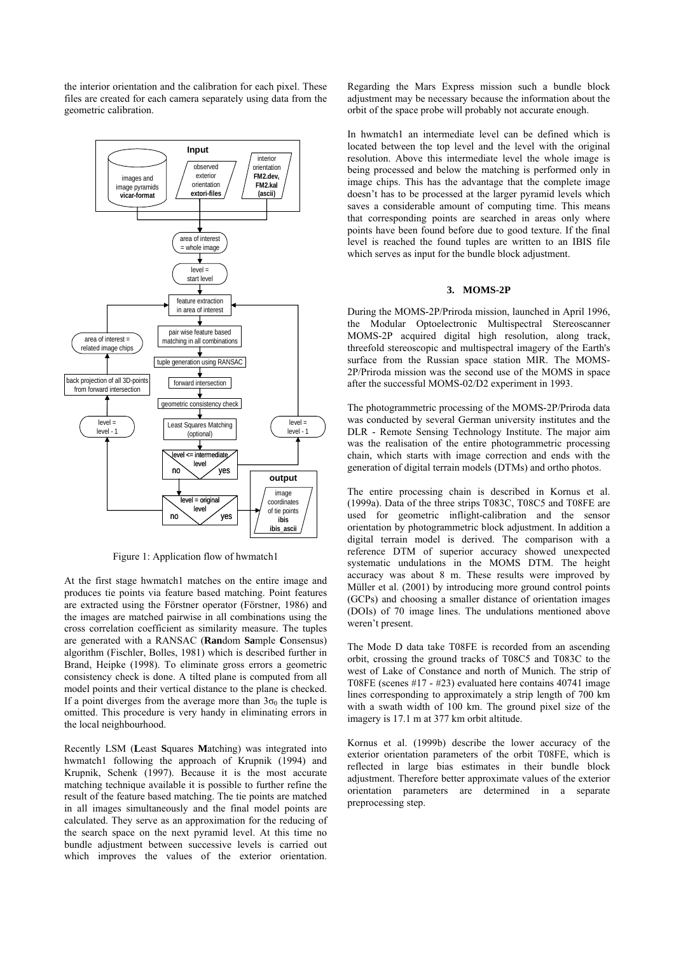the interior orientation and the calibration for each pixel. These files are created for each camera separately using data from the geometric calibration.

<span id="page-1-1"></span>

Figure 1: Application flow of hwmatch1

At the first stage hwmatch1 matches on the entire image and produces tie points via feature based matching. Point features are extracted using the Förstner operator (Förstner, 1986) and the images are matched pairwise in all combinations using the cross correlation coefficient as similarity measure. The tuples are generated with a RANSAC (**Ran**dom **Sa**mple **C**onsensus) algorithm (Fischler, Bolles, 1981) which is described further in Brand, Heipke (1998). To eliminate gross errors a geometric consistency check is done. A tilted plane is computed from all model points and their vertical distance to the plane is checked. If a point diverges from the average more than  $3\sigma_0$  the tuple is omitted. This procedure is very handy in eliminating errors in the local neighbourhood.

Recently LSM (**L**east **S**quares **M**atching) was integrated into hwmatch1 following the approach of Krupnik (1994) and Krupnik, Schenk (1997). Because it is the most accurate matching technique available it is possible to further refine the result of the feature based matching. The tie points are matched in all images simultaneously and the final model points are calculated. They serve as an approximation for the reducing of the search space on the next pyramid level. At this time no bundle adjustment between successive levels is carried out which improves the values of the exterior orientation.

Regarding the Mars Express mission such a bundle block adjustment may be necessary because the information about the orbit of the space probe will probably not accurate enough.

In hwmatch1 an intermediate level can be defined which is located between the top level and the level with the original resolution. Above this intermediate level the whole image is being processed and below the matching is performed only in image chips. This has the advantage that the complete image doesn't has to be processed at the larger pyramid levels which saves a considerable amount of computing time. This means that corresponding points are searched in areas only where points have been found before due to good texture. If the final level is reached the found tuples are written to an IBIS file which serves as input for the bundle block adjustment.

#### <span id="page-1-0"></span>**3. MOMS-2P**

During the MOMS-2P/Priroda mission, launched in April 1996, the Modular Optoelectronic Multispectral Stereoscanner MOMS-2P acquired digital high resolution, along track, threefold stereoscopic and multispectral imagery of the Earth's surface from the Russian space station MIR. The MOMS-2P/Priroda mission was the second use of the MOMS in space after the successful MOMS-02/D2 experiment in 1993.

The photogrammetric processing of the MOMS-2P/Priroda data was conducted by several German university institutes and the DLR - Remote Sensing Technology Institute. The major aim was the realisation of the entire photogrammetric processing chain, which starts with image correction and ends with the generation of digital terrain models (DTMs) and ortho photos.

The entire processing chain is described in Kornus et al. (1999a). Data of the three strips T083C, T08C5 and T08FE are used for geometric inflight-calibration and the sensor orientation by photogrammetric block adjustment. In addition a digital terrain model is derived. The comparison with a reference DTM of superior accuracy showed unexpected systematic undulations in the MOMS DTM. The height accuracy was about 8 m. These results were improved by Müller et al. (2001) by introducing more ground control points (GCPs) and choosing a smaller distance of orientation images (DOIs) of 70 image lines. The undulations mentioned above weren't present.

The Mode D data take T08FE is recorded from an ascending orbit, crossing the ground tracks of T08C5 and T083C to the west of Lake of Constance and north of Munich. The strip of T08FE (scenes #17 - #23) evaluated here contains 40741 image lines corresponding to approximately a strip length of 700 km with a swath width of 100 km. The ground pixel size of the imagery is 17.1 m at 377 km orbit altitude.

Kornus et al. (1999b) describe the lower accuracy of the exterior orientation parameters of the orbit T08FE, which is reflected in large bias estimates in their bundle block adjustment. Therefore better approximate values of the exterior orientation parameters are determined in a separate preprocessing step.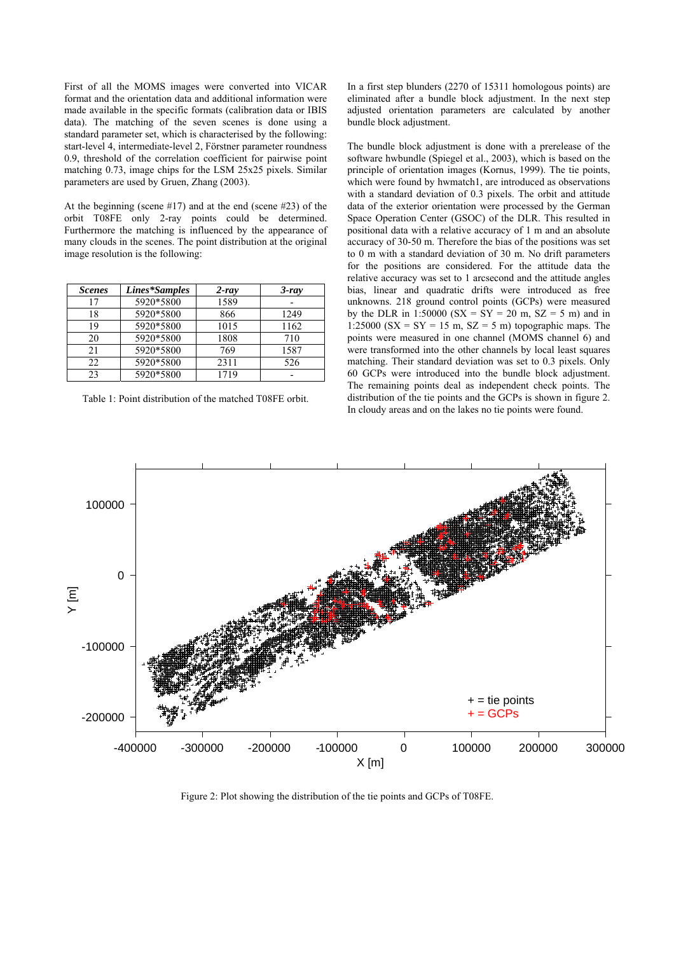First of all the MOMS images were converted into VICAR format and the orientation data and additional information were made available in the specific formats (calibration data or IBIS data). The matching of the seven scenes is done using a standard parameter set, which is characterised by the following: start-level 4, intermediate-level 2, Förstner parameter roundness 0.9, threshold of the correlation coefficient for pairwise point matching 0.73, image chips for the LSM 25x25 pixels. Similar parameters are used by Gruen, Zhang (2003).

At the beginning (scene #17) and at the end (scene #23) of the orbit T08FE only 2-ray points could be determined. Furthermore the matching is influenced by the appearance of many clouds in the scenes. The point distribution at the original image resolution is the following:

| <b>Scenes</b> | Lines*Samples | $2 - ray$ | $3$ -ray |
|---------------|---------------|-----------|----------|
| 17            | 5920*5800     | 1589      |          |
| 18            | 5920*5800     | 866       | 1249     |
| 19            | 5920*5800     | 1015      | 1162     |
| 20            | 5920*5800     | 1808      | 710      |
| 21            | 5920*5800     | 769       | 1587     |
| 22            | 5920*5800     | 2311      | 526      |
| 23            | 5920*5800     | 1719      |          |

<span id="page-2-0"></span>Table 1: Point distribution of the matched T08FE orbit.

In a first step blunders (2270 of 15311 homologous points) are eliminated after a bundle block adjustment. In the next step adjusted orientation parameters are calculated by another bundle block adjustment.

The bundle block adjustment is done with a prerelease of the software hwbundle (Spiegel et al., 2003), which is based on the principle of orientation images (Kornus, 1999). The tie points, which were found by hwmatch1, are introduced as observations with a standard deviation of 0.3 pixels. The orbit and attitude data of the exterior orientation were processed by the German Space Operation Center (GSOC) of the DLR. This resulted in positional data with a relative accuracy of 1 m and an absolute accuracy of 30-50 m. Therefore the bias of the positions was set to 0 m with a standard deviation of 30 m. No drift parameters for the positions are considered. For the attitude data the relative accuracy was set to 1 arcsecond and the attitude angles bias, linear and quadratic drifts were introduced as free unknowns. 218 ground control points (GCPs) were measured by the DLR in 1:50000 ( $SX = SY = 20$  m,  $SZ = 5$  m) and in 1:25000 ( $SX = SY = 15$  m,  $SZ = 5$  m) topographic maps. The points were measured in one channel (MOMS channel 6) and were transformed into the other channels by local least squares matching. Their standard deviation was set to 0.3 pixels. Only 60 GCPs were introduced into the bundle block adjustment. The remaining points deal as independent check points. The distribution of the tie points and the GCPs is shown in [figure 2.](#page-2-0) In cloudy areas and on the lakes no tie points were found.



Figure 2: Plot showing the distribution of the tie points and GCPs of T08FE.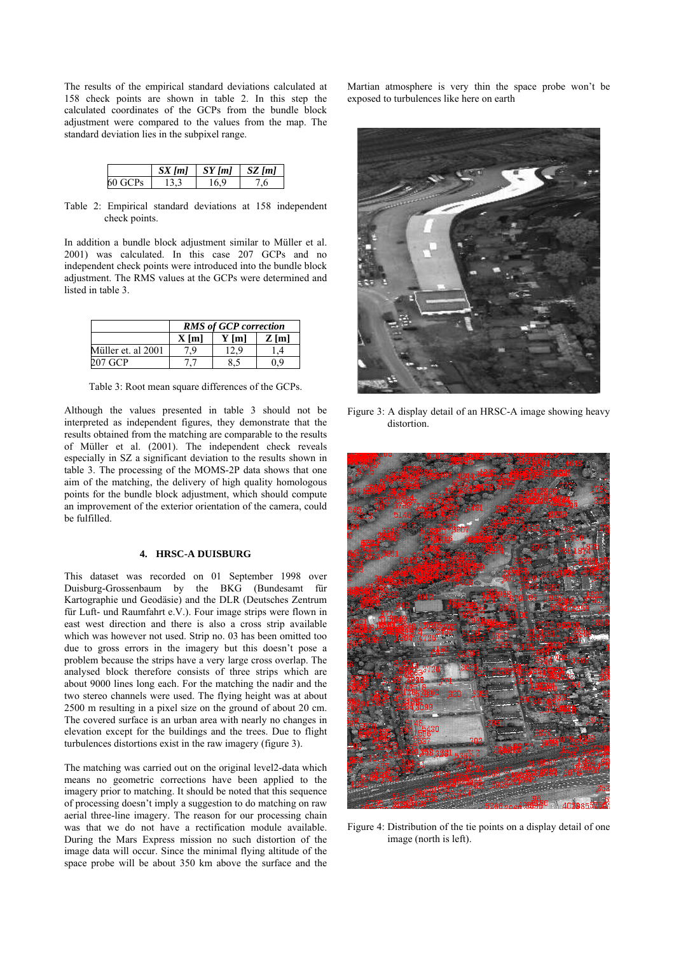The results of the empirical standard deviations calculated at 158 check points are shown in [table 2.](#page-3-1) In this step the calculated coordinates of the GCPs from the bundle block adjustment were compared to the values from the map. The standard deviation lies in the subpixel range.

|         | $SX$ [m] | $\parallel SY[ml]$ | $SZ$ [m] |
|---------|----------|--------------------|----------|
| 60 GCPs | 133      | 16.9               | . గ      |

<span id="page-3-1"></span>Table 2: Empirical standard deviations at 158 independent check points.

In addition a bundle block adjustment similar to Müller et al. 2001) was calculated. In this case 207 GCPs and no independent check points were introduced into the bundle block adjustment. The RMS values at the GCPs were determined and listed in [table 3.](#page-3-2)

|                    | <b>RMS</b> of GCP correction |         |         |  |
|--------------------|------------------------------|---------|---------|--|
|                    | $X$ [m]                      | $Y$ [m] | $Z$ [m] |  |
| Müller et. al 2001 | -9                           | 12.9    |         |  |
| 207 GCP            |                              | 8.5     | 0 9     |  |

<span id="page-3-2"></span>Table 3: Root mean square differences of the GCPs.

Although the values presented in [table 3](#page-3-2) should not be interpreted as independent figures, they demonstrate that the results obtained from the matching are comparable to the results of Müller et al. (2001). The independent check reveals especially in SZ a significant deviation to the results shown in [table 3.](#page-3-2) The processing of the MOMS-2P data shows that one aim of the matching, the delivery of high quality homologous points for the bundle block adjustment, which should compute an improvement of the exterior orientation of the camera, could be fulfilled.

## <span id="page-3-0"></span>**4. HRSC-A DUISBURG**

This dataset was recorded on 01 September 1998 over Duisburg-Grossenbaum by the BKG (Bundesamt für Kartographie und Geodäsie) and the DLR (Deutsches Zentrum für Luft- und Raumfahrt e.V.). Four image strips were flown in east west direction and there is also a cross strip available which was however not used. Strip no. 03 has been omitted too due to gross errors in the imagery but this doesn't pose a problem because the strips have a very large cross overlap. The analysed block therefore consists of three strips which are about 9000 lines long each. For the matching the nadir and the two stereo channels were used. The flying height was at about 2500 m resulting in a pixel size on the ground of about 20 cm. The covered surface is an urban area with nearly no changes in elevation except for the buildings and the trees. Due to flight turbulences distortions exist in the raw imagery [\(figure 3\)](#page-3-3).

The matching was carried out on the original level2-data which means no geometric corrections have been applied to the imagery prior to matching. It should be noted that this sequence of processing doesn't imply a suggestion to do matching on raw aerial three-line imagery. The reason for our processing chain was that we do not have a rectification module available. During the Mars Express mission no such distortion of the image data will occur. Since the minimal flying altitude of the space probe will be about 350 km above the surface and the

Martian atmosphere is very thin the space probe won't be exposed to turbulences like here on earth

<span id="page-3-3"></span>

Figure 3: A display detail of an HRSC-A image showing heavy distortion.

<span id="page-3-4"></span>

Figure 4: Distribution of the tie points on a display detail of one image (north is left).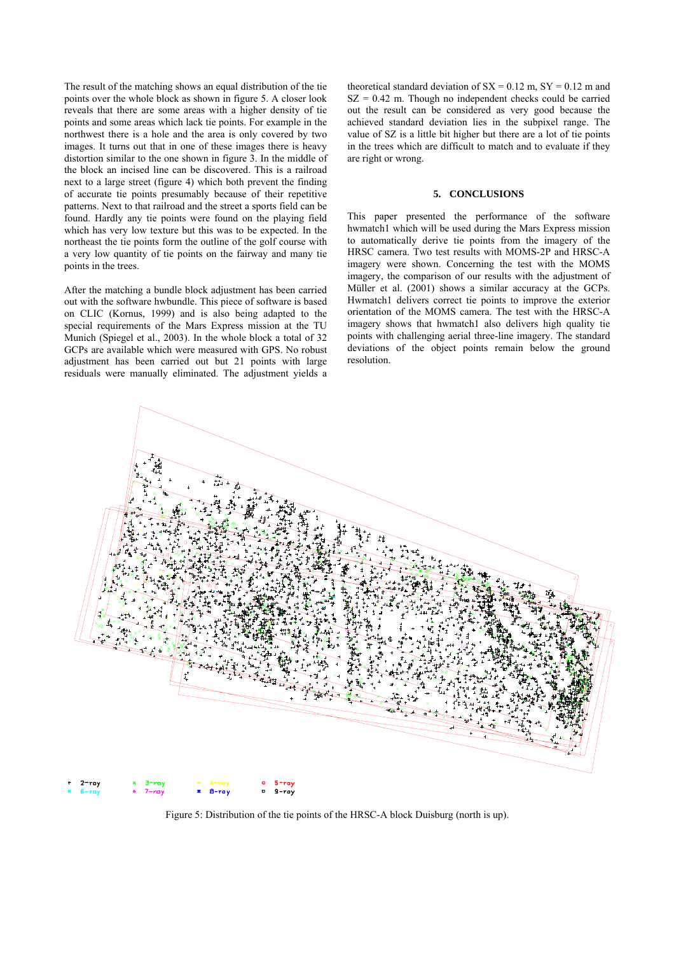The result of the matching shows an equal distribution of the tie points over the whole block as shown in [figure 5.](#page-4-0) A closer look reveals that there are some areas with a higher density of tie points and some areas which lack tie points. For example in the northwest there is a hole and the area is only covered by two images. It turns out that in one of these images there is heavy distortion similar to the one shown in [figure 3.](#page-3-3) In the middle of the block an incised line can be discovered. This is a railroad next to a large street [\(figure 4\)](#page-3-4) which both prevent the finding of accurate tie points presumably because of their repetitive patterns. Next to that railroad and the street a sports field can be found. Hardly any tie points were found on the playing field which has very low texture but this was to be expected. In the northeast the tie points form the outline of the golf course with a very low quantity of tie points on the fairway and many tie points in the trees.

After the matching a bundle block adjustment has been carried out with the software hwbundle. This piece of software is based on CLIC (Kornus, 1999) and is also being adapted to the special requirements of the Mars Express mission at the TU Munich (Spiegel et al., 2003). In the whole block a total of 32 GCPs are available which were measured with GPS. No robust adjustment has been carried out but 21 points with large residuals were manually eliminated. The adjustment yields a

theoretical standard deviation of  $SX = 0.12$  m,  $SY = 0.12$  m and  $SZ = 0.42$  m. Though no independent checks could be carried out the result can be considered as very good because the achieved standard deviation lies in the subpixel range. The value of SZ is a little bit higher but there are a lot of tie points in the trees which are difficult to match and to evaluate if they are right or wrong.

#### **5. CONCLUSIONS**

This paper presented the performance of the software hwmatch1 which will be used during the Mars Express mission to automatically derive tie points from the imagery of the HRSC camera. Two test results with MOMS-2P and HRSC-A imagery were shown. Concerning the test with the MOMS imagery, the comparison of our results with the adjustment of Müller et al. (2001) shows a similar accuracy at the GCPs. Hwmatch1 delivers correct tie points to improve the exterior orientation of the MOMS camera. The test with the HRSC-A imagery shows that hwmatch1 also delivers high quality tie points with challenging aerial three-line imagery. The standard deviations of the object points remain below the ground resolution.



<span id="page-4-0"></span>Figure 5: Distribution of the tie points of the HRSC-A block Duisburg (north is up).